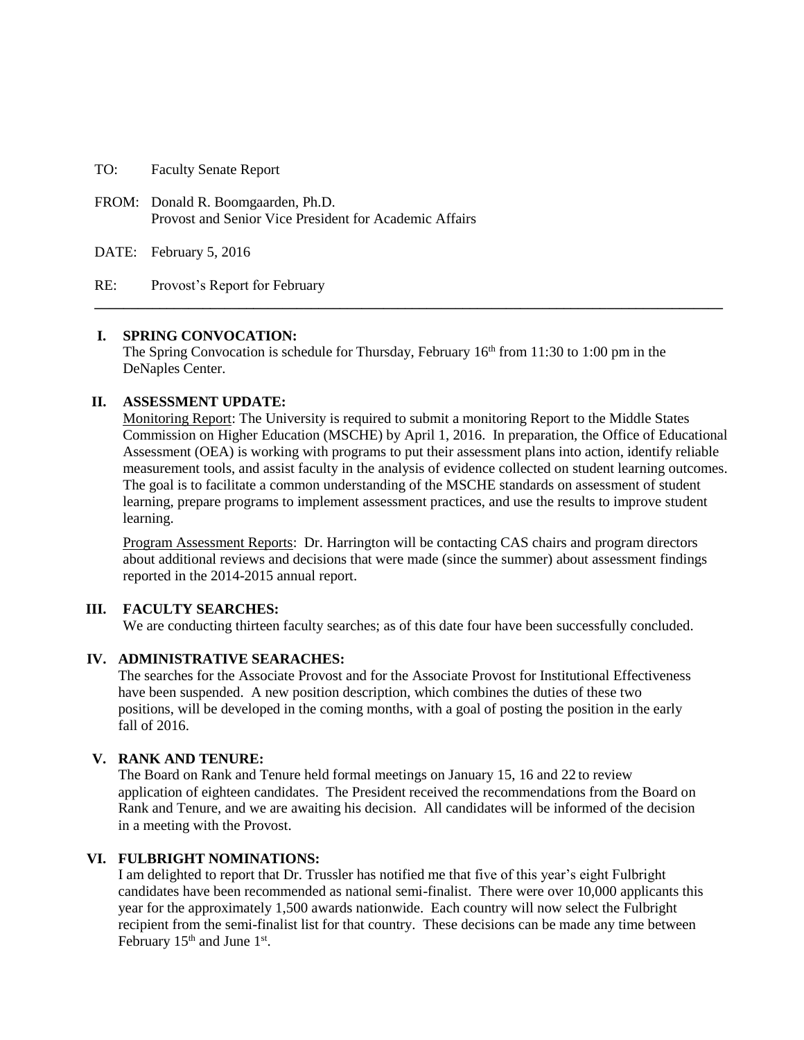TO: Faculty Senate Report

FROM: Donald R. Boomgaarden, Ph.D. Provost and Senior Vice President for Academic Affairs

DATE: February 5, 2016

RE: Provost's Report for February

#### **I. SPRING CONVOCATION:**

The Spring Convocation is schedule for Thursday, February  $16<sup>th</sup>$  from 11:30 to 1:00 pm in the DeNaples Center.

**\_\_\_\_\_\_\_\_\_\_\_\_\_\_\_\_\_\_\_\_\_\_\_\_\_\_\_\_\_\_\_\_\_\_\_\_\_\_\_\_\_\_\_\_\_\_\_\_\_\_\_\_\_\_\_\_\_\_\_\_\_\_\_\_\_\_\_\_\_\_\_\_\_\_\_\_\_\_\_\_\_\_\_\_\_\_\_**

#### **II. ASSESSMENT UPDATE:**

Monitoring Report: The University is required to submit a monitoring Report to the Middle States Commission on Higher Education (MSCHE) by April 1, 2016. In preparation, the Office of Educational Assessment (OEA) is working with programs to put their assessment plans into action, identify reliable measurement tools, and assist faculty in the analysis of evidence collected on student learning outcomes. The goal is to facilitate a common understanding of the MSCHE standards on assessment of student learning, prepare programs to implement assessment practices, and use the results to improve student learning.

Program Assessment Reports: Dr. Harrington will be contacting CAS chairs and program directors about additional reviews and decisions that were made (since the summer) about assessment findings reported in the 2014-2015 annual report.

#### **III. FACULTY SEARCHES:**

We are conducting thirteen faculty searches; as of this date four have been successfully concluded.

#### **IV. ADMINISTRATIVE SEARACHES:**

The searches for the Associate Provost and for the Associate Provost for Institutional Effectiveness have been suspended. A new position description, which combines the duties of these two positions, will be developed in the coming months, with a goal of posting the position in the early fall of 2016.

### **V. RANK AND TENURE:**

The Board on Rank and Tenure held formal meetings on January 15, 16 and 22 to review application of eighteen candidates. The President received the recommendations from the Board on Rank and Tenure, and we are awaiting his decision. All candidates will be informed of the decision in a meeting with the Provost.

#### **VI. FULBRIGHT NOMINATIONS:**

I am delighted to report that Dr. Trussler has notified me that five of this year's eight Fulbright candidates have been recommended as national semi-finalist. There were over 10,000 applicants this year for the approximately 1,500 awards nationwide. Each country will now select the Fulbright recipient from the semi-finalist list for that country. These decisions can be made any time between February  $15<sup>th</sup>$  and June  $1<sup>st</sup>$ .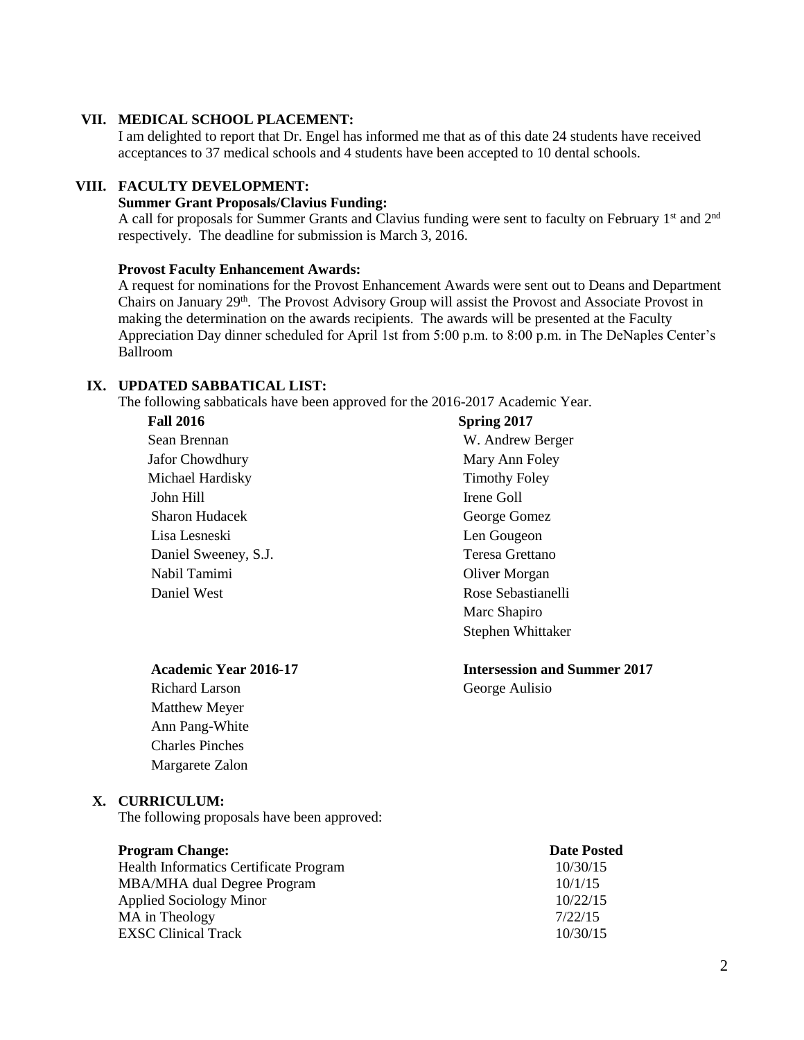# **VII. MEDICAL SCHOOL PLACEMENT:**

I am delighted to report that Dr. Engel has informed me that as of this date 24 students have received acceptances to 37 medical schools and 4 students have been accepted to 10 dental schools.

#### **VIII. FACULTY DEVELOPMENT:**

### **Summer Grant Proposals/Clavius Funding:**

A call for proposals for Summer Grants and Clavius funding were sent to faculty on February 1<sup>st</sup> and 2<sup>nd</sup> respectively. The deadline for submission is March 3, 2016.

#### **Provost Faculty Enhancement Awards:**

A request for nominations for the Provost Enhancement Awards were sent out to Deans and Department Chairs on January 29<sup>th</sup>. The Provost Advisory Group will assist the Provost and Associate Provost in making the determination on the awards recipients. The awards will be presented at the Faculty Appreciation Day dinner scheduled for April 1st from 5:00 p.m. to 8:00 p.m. in The DeNaples Center's Ballroom

# **IX. UPDATED SABBATICAL LIST:**

The following sabbaticals have been approved for the 2016-2017 Academic Year.

### **Fall 2016**

Sean Brennan Jafor Chowdhury Michael Hardisky John Hill Sharon Hudacek Lisa Lesneski Daniel Sweeney, S.J. Nabil Tamimi Daniel West

# **Spring 2017**

W. Andrew Berger Mary Ann Foley Timothy Foley Irene Goll George Gomez Len Gougeon Teresa Grettano Oliver Morgan Rose Sebastianelli Marc Shapiro Stephen Whittaker

#### **Academic Year 2016-17 Intersession and Summer 2017**

Richard Larson George Aulisio Matthew Meyer Ann Pang-White Charles Pinches Margarete Zalon

#### **X. CURRICULUM:**

The following proposals have been approved:

#### **Program Change: Date Posted**

| 10/30/15 |
|----------|
| 10/1/15  |
| 10/22/15 |
| 7/22/15  |
| 10/30/15 |
|          |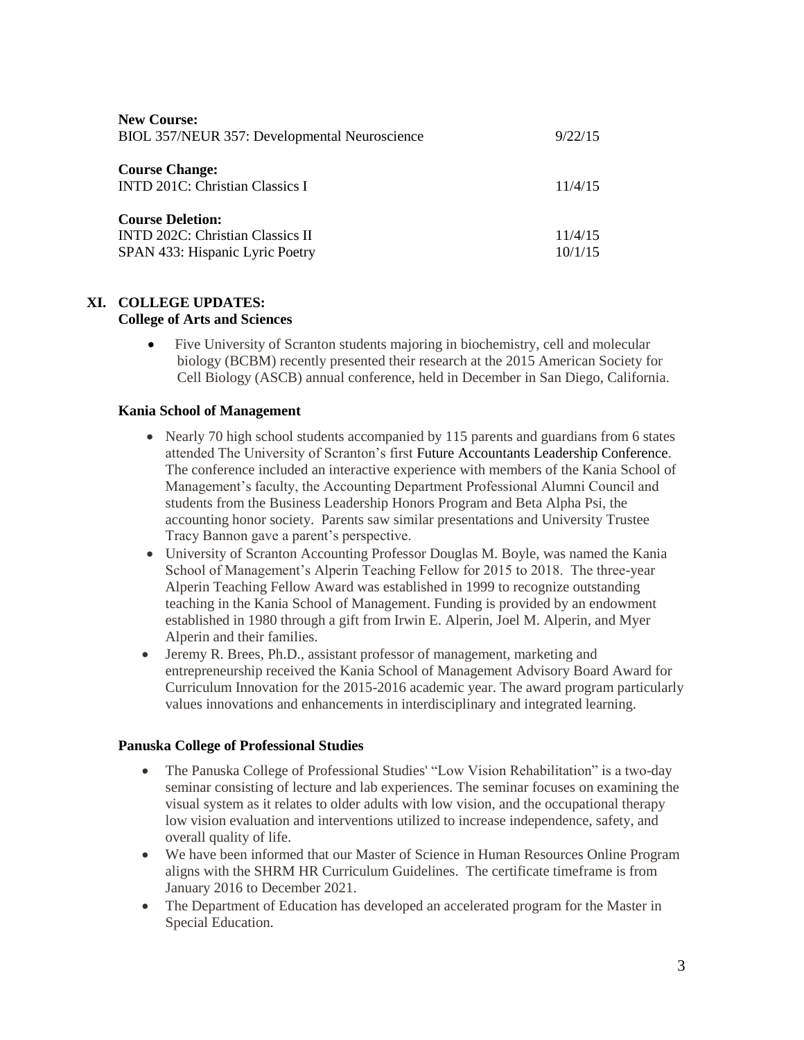| <b>New Course:</b><br>BIOL 357/NEUR 357: Developmental Neuroscience                                   | 9/22/15            |
|-------------------------------------------------------------------------------------------------------|--------------------|
| <b>Course Change:</b><br><b>INTD 201C: Christian Classics I</b>                                       | 11/4/15            |
| <b>Course Deletion:</b><br><b>INTD 202C: Christian Classics II</b><br>SPAN 433: Hispanic Lyric Poetry | 11/4/15<br>10/1/15 |

# **XI. COLLEGE UPDATES:**

# **College of Arts and Sciences**

 Five University of Scranton students majoring in biochemistry, cell and molecular biology (BCBM) recently presented their research at the 2015 American Society for Cell Biology (ASCB) annual conference, held in December in San Diego, California.

# **Kania School of Management**

- Nearly 70 high school students accompanied by 115 parents and guardians from 6 states attended The University of Scranton's first Future [Accountants](http://www.scranton.edu/news/articles/2015/12/images/Acct-FAL-Con-2015.pdf) Leadership Conference. The conference included an interactive experience with members of the Kania School of Management's faculty, the Accounting Department Professional Alumni Council and students from the Business Leadership Honors Program and Beta Alpha Psi, the accounting honor society. Parents saw similar presentations and University Trustee Tracy Bannon gave a parent's perspective.
- University of Scranton Accounting Professor Douglas M. Boyle, was named the Kania School of Management's Alperin Teaching Fellow for 2015 to 2018. The three-year Alperin Teaching Fellow Award was established in 1999 to recognize outstanding teaching in the Kania School of Management. Funding is provided by an endowment established in 1980 through a gift from Irwin E. Alperin, Joel M. Alperin, and Myer Alperin and their families.
- Jeremy R. Brees, Ph.D., assistant professor of management, marketing and entrepreneurship received the Kania School of Management Advisory Board Award for Curriculum Innovation for the 2015-2016 academic year. The award program particularly values innovations and enhancements in interdisciplinary and integrated learning.

### **Panuska College of Professional Studies**

- The Panuska College of Professional Studies' "Low Vision Rehabilitation" is a two-day seminar consisting of lecture and lab experiences. The seminar focuses on examining the visual system as it relates to older adults with low vision, and the occupational therapy low vision evaluation and interventions utilized to increase independence, safety, and overall quality of life.
- We have been informed that our Master of Science in Human Resources Online Program aligns with the SHRM HR Curriculum Guidelines. The certificate timeframe is from January 2016 to December 2021.
- The Department of Education has developed an accelerated program for the Master in Special Education.